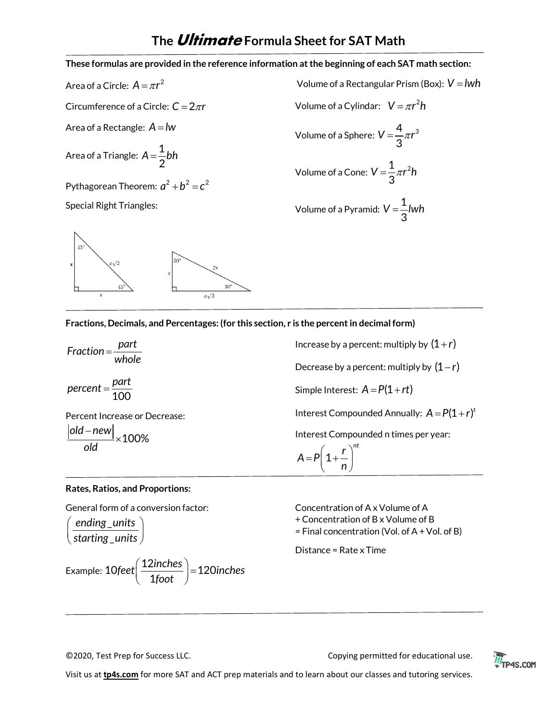**These formulas are provided in the reference information at the beginning of each SAT math section:** 

Area of a Circle:  $A = \pi r^2$ 

Circumference of a Circle:  $C = 2\pi r$ 

Area of a Rectangle:  $A = lw$ 

Area of a Triangle: 
$$
A = \frac{1}{2}bh
$$

Pythagorean Theorem:  $a^2 + b^2 = c^2$ 

Special Right Triangles:



Volume of a Rectangular Prism (Box): 
$$
V = lwh
$$
  
Volume of a Cylinder:  $V = \pi r^2 h$   
Volume of a Sphere:  $V = \frac{4}{3}\pi r^3$   
Volume of a Cone:  $V = \frac{1}{3}\pi r^2 h$ 

Volume of a Pyramid: 
$$
V = \frac{1}{3} lwh
$$

**Fractions, Decimals, and Percentages: (for this section, r is the percent in decimal form)**

*part Fraction whole* = 100 *part percent* <sup>=</sup> Percent Increase or Decrease:

100% *old new old*  $\frac{-\text{new}}{\cdot}$ ×

Increase by a percent: multiply by  $(1+r)$ Decrease by a percent: multiply by  $(1 - r)$ Simple Interest:  $A = P(1 + rt)$ Interest Compounded Annually:  $A = P(1 + r)^t$ Interest Compounded n times per year:

$$
A = P\left(1 + \frac{r}{n}\right)^{nt}
$$

#### **Rates, Ratios, and Proportions:**

General form of a conversion factor:

$$
\left(\frac{\text{ending\_units}}{\text{starting\_units}}\right)
$$

Example: 10feet 
$$
\left(\frac{12 \text{inches}}{1 \text{foot}}\right) = 120 \text{inches}
$$

Concentration of A x Volume of A

+ Concentration of B x Volume of B

= Final concentration (Vol. of A + Vol. of B)

Distance = Rate x Time

©2020, Test Prep for Success LLC. Copying permitted for educational use.



Visit us at **tp4s.com** for more SAT and ACT prep materials and to learn about our classes and tutoring services.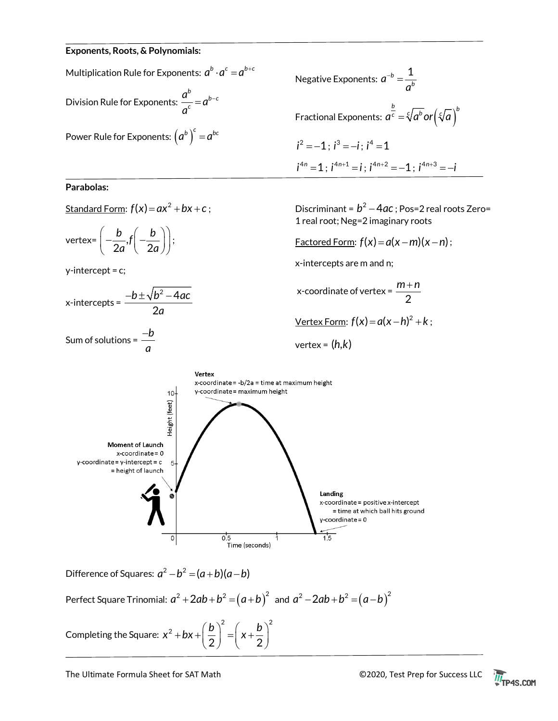#### **Exponents, Roots, & Polynomials:**

Multiplication Rule for Exponents:  $a^b \cdot a^c = a^{b+c}$ Division Rule for Exponents:  $\int_{a}^{b}$ *c*  $\frac{a^b}{c} = a$ *a*  $=a^{b-}$ Power Rule for Exponents:  $(a^b)^c = a^{bc}$ 

#### **Parabolas:**

<u>Standard Form</u>:  $f(x) = ax^2 + bx + c$ ;

vertex=  $\left(-\frac{b}{2a}, f\right)\left(-\frac{b}{2a}\right)$  $\left(-\frac{b}{2a}, f\left(-\frac{b}{2a}\right)\right);$ 

y-intercept = c;

$$
x\text{-intercepts} = \frac{-b \pm \sqrt{b^2 - 4ac}}{2a}
$$

Sum of solutions = *<sup>b</sup> a* −



Discriminant =  $b^2 - 4ac$  ; Pos=2 real roots Zero= 1 real root; Neg=2 imaginary roots

 $Factored Form: f(x) = a(x - m)(x - n);$ 

x-intercepts are m and n;

x-coordinate of vertex =  $\frac{m}{2}$ *m n* +  $Vertex Form:  $f(x) = a(x - h)^2 + k$ ;$ </u>

$$
vertex = (h,k)
$$



Difference of Squares:  $a^2 - b^2 = (a+b)(a-b)$ 

Perfect Square Trinomial:  $a^2 + 2ab + b^2 = (a+b)^2$  and  $a^2 - 2ab + b^2 = (a-b)^2$ 

Completing the Square: 2  $(1)^2$ 2  $x^2 + bx + \left(\frac{b}{2}\right)^2 = \left(x + \frac{b}{2}\right)^2$ 

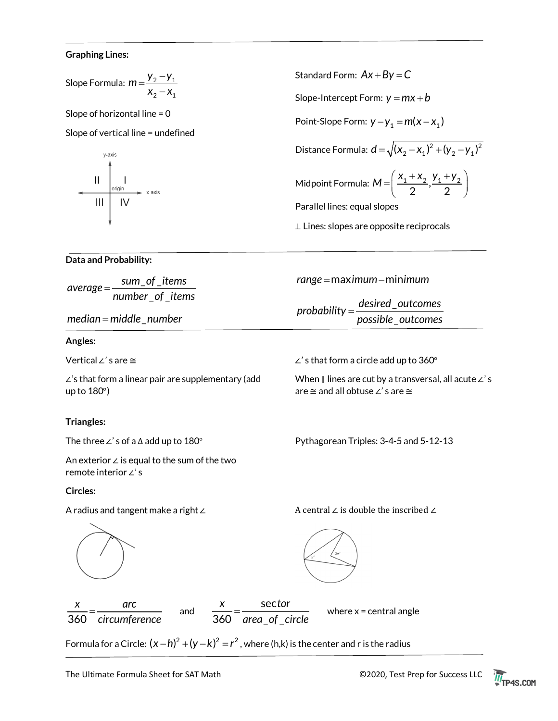#### **Graphing Lines:**

Slope Formula: 
$$
m = \frac{y_2 - y_1}{x_2 - x_1}
$$

Slope of horizontal line = 0

Slope of vertical line = undefined



Standard Form:  $Ax + By = C$ Slope-Intercept Form:  $y = mx + b$ Point-Slope Form:  $y - y_1 = m(x - x_1)$ Distance Formula:  $\boldsymbol{d} = \sqrt{(\boldsymbol{X}_2 - \boldsymbol{X}_1)^2 + (\boldsymbol{Y}_2 - \boldsymbol{Y}_1)^2}$ Midpoint Formula:  $M = \left(\frac{x_1 + x_2}{2}, \frac{y_1 + y_2}{2}\right)$ Parallel lines: equal slopes ⊥ Lines: slopes are opposite reciprocals

\_

When ∥ lines are cut by a transversal, all acute ∠' s

# **Data and Probability:**

 $_{-}$ of $_{-}$ \_ \_ *sum of items average number of items* <sup>=</sup>

*median* = middle \_number

# **Angles:**

Vertical ∠' s are ≅

∠'s that form a linear pair are supplementary (add up to 180°)

# **Triangles:**

The three ∠' s of a ∆ add up to 180°

An exterior ∠ is equal to the sum of the two remote interior ∠' s

# **Circles:**

A radius and tangent make a right ∠ A central ∠ is double the inscribed ∠

Pythagorean Triples: 3-4-5 and 5-12-13

*range* = max *imum* – minimum

\_ *desired outcomes probability possible outcomes* <sup>=</sup>

∠' s that form a circle add up to 360°

are ≅ and all obtuse ∠' s are ≅





Formula for a Circle:  $(x - h)^2 + (y - k)^2 = r^2$ , where (h,k) is the center and r is the radius